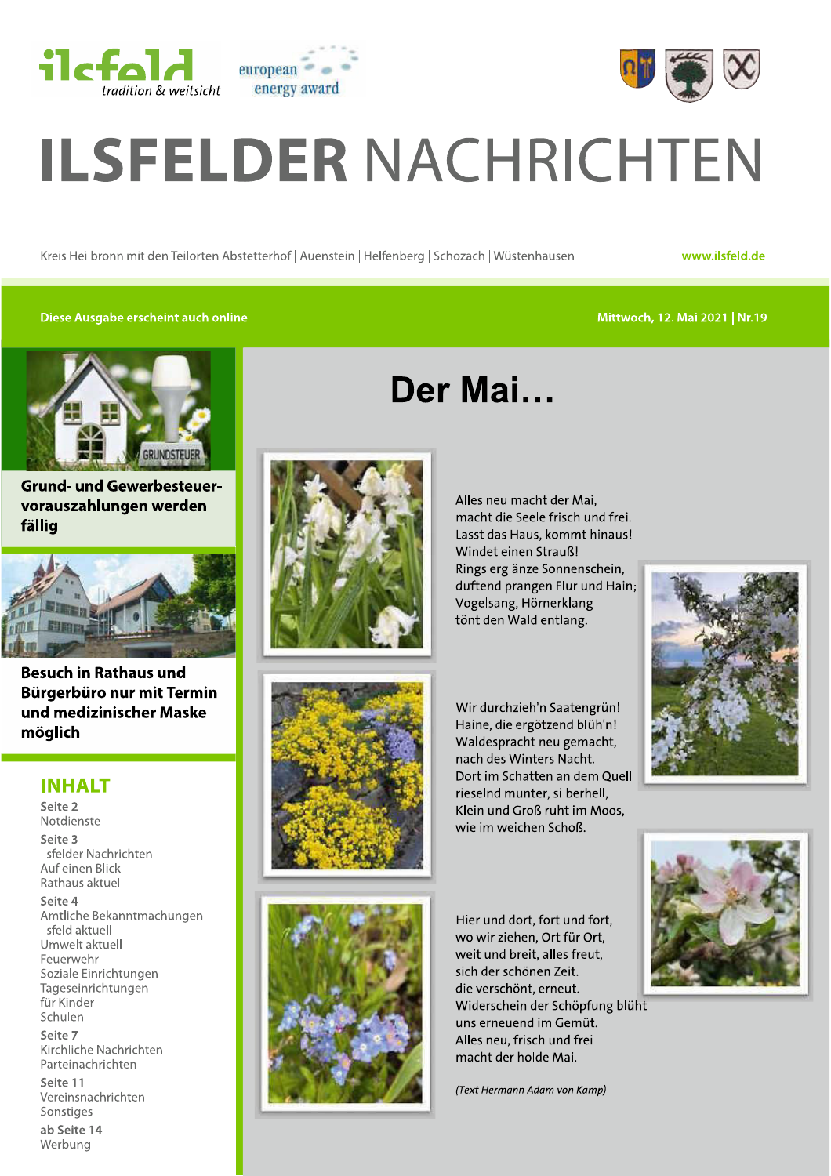



# ELDER NACHRICHTEN<br>
Kreis Heilbronn mit den Teilorten Abstetterhof | Auenstein | Helfenberg | Schozach | Wüstenhausen<br>
Diese Ausgabe erscheint auch online<br>
Dor Mai  $\blacksquare$  DEK NACHRICH I EN<br>Kreis Heilbronn mit den Teilorten Abstetterhof | Auenstein | Helfenberg | Schozach | Wüstenhausen<br>Kreis Heilbronn mit den Teilorten Abstetterhof | Auenstein | Helfenberg | Schozach | Wüstenhausen

p

Der Mai...

www.ilsfeld.de

## Diese Ausgabe erscheint auch online

#### Mittwoch, 12. Mai 2021 | Nr.19



Grund- und Gewerbesteuervorauszahlungen werden fällig



Besuch in Rathaus und Bürgerbüro nur mit Termin und medizinischer Maske möglich

## **INHALT**

Seite<br>-- $\mathbf{z}$ Notdienste I-- $\frac{3}{2}$  $\mu$  is reider Nachrichten Auf einen Blick Rathaus aktuell Seite 4 Amtliche Bekanntmachungen Ilsfeld aktuell Umwelt aktuell<br>Feuerwehr llsfelder Nachrichten<br>
Auf einen Blick<br>
Rathaus aktuell<br> **Seite 4**<br>
Amtliche Bekanntmacht<br>
llsfeld aktuell<br>
Umwelt aktuell<br>
Feuerwehr<br>
Soziale Einrichtungen<br>
Tageseinrichtungen<br>
für Kinder<br>
Seite 7<br>
Kirchliche Nachrichten<br> Seite 7  $\frac{1}{2}$ Kirchliche Nachrichten<br>-Parteinachrichten lageseinrichtungen<br>für Kinder<br>Schulen<br>**Seite 7**<br>Kirchliche Nachrichten<br>Parteinachrichten<br>**Seite 11**<br>Vereinsnachrichten<br>Sonstiges<br>**ab Seite 14**<br>Werbung

Seite i Vereinsnachrichten ite 14 Werbung





Alles neu macht der Mai, macht die Seele frisch und frei. Lasst das Haus, kommt hinaus! Windet einen Strauß! Rings erglänze Sonnenschein, duftend prangen Flur und Hain; Vogelsang, Hörnerklang tönt den Wald entlang.

Wir durchzieh'n Saatengrün! Haine, die ergötzend blüh'n! Waldespracht neu gemacht, nach des Winters Nacht. Dort im Schatten an dem Quell rieselnd munter, silberhell. Klein und Groß ruht im Moos,





wie im weichen Schoß.



Hier und dort, fort und fort, wo wir ziehen, Ort für Ort, weit und breit, alles freut, sich der schönen Zeit. die verschönt, erneut. Widerschein der Schöpfung blüht uns erneuend im Gemüt. Alles neu, frisch und frei macht der holde Mai.

(Text Hermann Adam von Kamp)

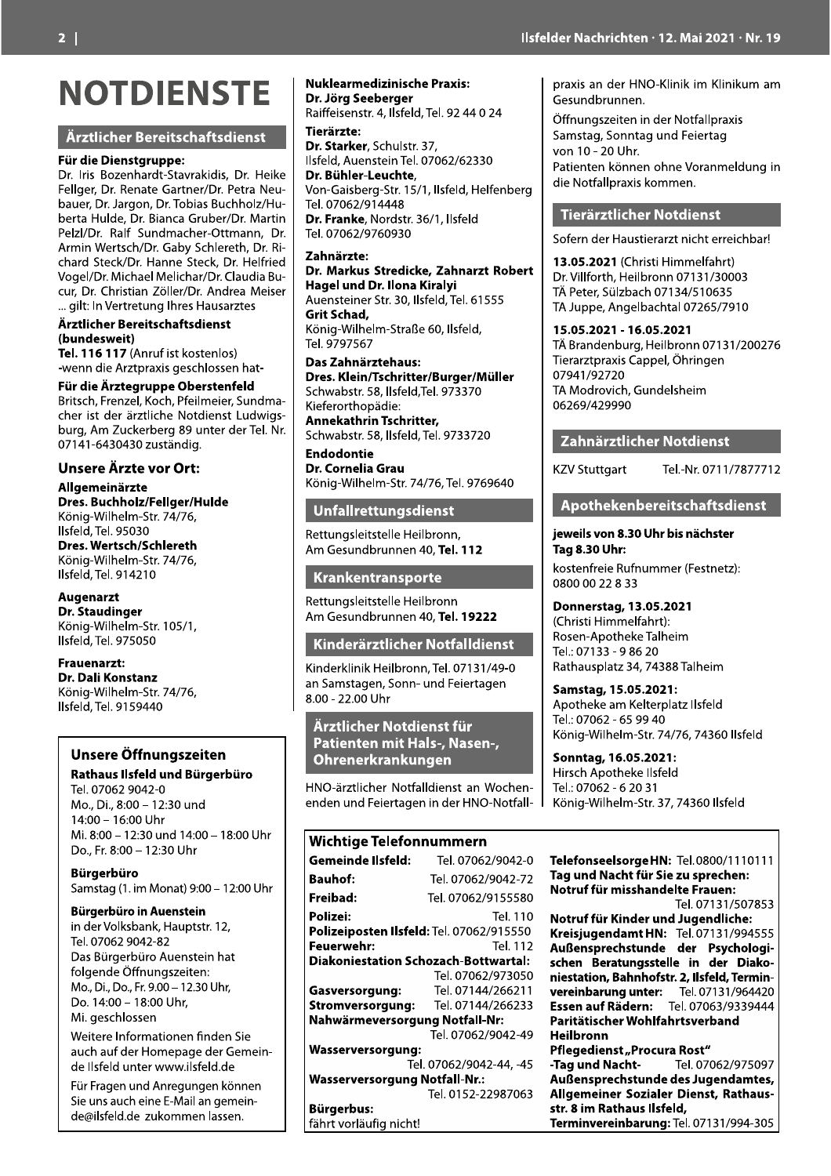#### Ärztlicher Bereitschaftsdienst

#### Für die Dienstgruppe:

Dr. Iris Bozenhardt-Stavrakidis, Dr. Heike Fellger, Dr. Renate Gartner/Dr. Petra Neubauer, Dr. Jargon, Dr. Tobias Buchholz/Huberta Hulde, Dr. Bianca Gruber/Dr. Martin Pelzl/Dr. Ralf Sundmacher-Ottmann, Dr. Armin Wertsch/Dr. Gaby Schlereth, Dr. Richard Steck/Dr. Hanne Steck, Dr. Helfried Vogel/Dr. Michael Melichar/Dr. Claudia Bucur, Dr. Christian Zöller/Dr. Andrea Meiser ... gilt: In Vertretung Ihres Hausarztes

Ärztlicher Bereitschaftsdienst (bundesweit)

Tel. 116 117 (Anruf ist kostenlos) -wenn die Arztpraxis geschlossen hat-

#### Für die Ärztegruppe Oberstenfeld

Britsch, Frenzel, Koch, Pfeilmeier, Sundmacher ist der ärztliche Notdienst Ludwigsburg, Am Zuckerberg 89 unter der Tel. Nr. 07141-6430430 zuständig.

#### **Unsere Ärzte vor Ort:**

Allgemeinärzte Dres. Buchholz/Fellger/Hulde König-Wilhelm-Str. 74/76, Ilsfeld, Tel. 95030 Dres. Wertsch/Schlereth König-Wilhelm-Str. 74/76, Ilsfeld, Tel. 914210

#### **Augenarzt**

**Dr. Staudinger** König-Wilhelm-Str. 105/1, Ilsfeld, Tel. 975050

**Frauenarzt:** Dr. Dali Konstanz König-Wilhelm-Str. 74/76, Ilsfeld, Tel. 9159440

#### Unsere Öffnungszeiten

#### Rathaus Ilsfeld und Bürgerbüro

Tel. 07062 9042-0 Mo., Di., 8:00 - 12:30 und 14:00 - 16:00 Uhr Mi. 8:00 - 12:30 und 14:00 - 18:00 Uhr Do., Fr. 8:00 - 12:30 Uhr

**Bürgerbüro** Samstag (1. im Monat) 9:00 - 12:00 Uhr

#### Bürgerbüro in Auenstein

in der Volksbank, Hauptstr. 12, Tel. 07062 9042-82 Das Bürgerbüro Auenstein hat folgende Öffnungszeiten: Mo., Di., Do., Fr. 9.00 - 12.30 Uhr, Do. 14:00 - 18:00 Uhr, Mi. geschlossen

Weitere Informationen finden Sie auch auf der Homepage der Gemeinde Ilsfeld unter www.ilsfeld.de

Für Fragen und Anregungen können Sie uns auch eine E-Mail an gemeinde@ilsfeld.de zukommen lassen.

#### **Nuklearmedizinische Praxis:** Dr. Jörg Seeberger

Raiffeisenstr. 4, Ilsfeld, Tel. 92 44 0 24 Tierärzte:

Dr. Starker, Schulstr. 37, Ilsfeld, Auenstein Tel. 07062/62330 Dr. Bühler-Leuchte, Von-Gaisberg-Str. 15/1, Ilsfeld, Helfenberg

Tel. 07062/914448 Dr. Franke, Nordstr. 36/1, Ilsfeld Tel. 07062/9760930

#### Zahnärzte:

#### Dr. Markus Stredicke, Zahnarzt Robert Hagel und Dr. Ilona Kiralvi

Auensteiner Str. 30, Ilsfeld, Tel. 61555 Grit Schad, König-Wilhelm-Straße 60, Ilsfeld, Tel. 9797567

Das Zahnärztehaus: Dres. Klein/Tschritter/Burger/Müller Schwabstr. 58, Ilsfeld, Tel. 973370 Kieferorthopädie: **Annekathrin Tschritter.** Schwabstr. 58, Ilsfeld, Tel. 9733720

**Endodontie** Dr. Cornelia Grau König-Wilhelm-Str. 74/76, Tel. 9769640

#### Unfallrettungsdienst

Rettungsleitstelle Heilbronn, Am Gesundbrunnen 40, Tel. 112

#### Krankentransporte

Rettungsleitstelle Heilbronn Am Gesundbrunnen 40, Tel. 19222

#### Kinderärztlicher Notfalldienst

Kinderklinik Heilbronn, Tel. 07131/49-0 an Samstagen, Sonn- und Feiertagen  $8.00 - 22.00$  Uhr

Ärztlicher Notdienst für Patienten mit Hals-, Nasen-, Ohrenerkrankungen

HNO-ärztlicher Notfalldienst an Wochenenden und Feiertagen in der HNO-Notfall-

# Wichtige Telefonnummern

| Gemeinde Ilsfeld:                               | Tel. 07062/9042-0       |
|-------------------------------------------------|-------------------------|
|                                                 |                         |
| <b>Bauhof:</b>                                  | Tel. 07062/9042-72      |
| Freibad:                                        | Tel. 07062/9155580      |
| Polizei:                                        | Tel. 110                |
| <b>Polizeiposten Ilsfeld: Tel. 07062/915550</b> |                         |
| Feuerwehr:                                      | Tel. 112                |
| <b>Diakoniestation Schozach-Bottwartal:</b>     |                         |
|                                                 | Tel. 07062/973050       |
| Gasversorgung:                                  | Tel. 07144/266211       |
| Stromversorgung:                                | Tel. 07144/266233       |
| Nahwärmeversorgung Notfall-Nr:                  |                         |
|                                                 | Tel. 07062/9042-49      |
| Wasserversorgung:                               |                         |
|                                                 | Tel. 07062/9042-44, -45 |
| <b>Wasserversorgung Notfall-Nr.:</b>            |                         |
|                                                 | Tel. 0152-22987063      |
| Bürgerbus:                                      |                         |

fährt vorläufig nicht!

praxis an der HNO-Klinik im Klinikum am Gesundbrunnen.

Öffnungszeiten in der Notfallpraxis Samstag, Sonntag und Feiertag von 10 - 20 Uhr. Patienten können ohne Voranmeldung in die Notfallpraxis kommen.

#### **Tierärztlicher Notdienst**

Sofern der Haustierarzt nicht erreichbar!

13.05.2021 (Christi Himmelfahrt) Dr. Villforth, Heilbronn 07131/30003 TÄ Peter, Sülzbach 07134/510635 TA Juppe, Angelbachtal 07265/7910

#### 15.05.2021 - 16.05.2021

TÄ Brandenburg, Heilbronn 07131/200276 Tierarztpraxis Cappel, Öhringen 07941/92720 TA Modrovich, Gundelsheim 06269/429990

#### Zahnärztlicher Notdienst

**KZV Stuttgart** 

# Apothekenbereitschaftsdienst

Tel.-Nr. 0711/7877712

#### jeweils von 8.30 Uhr bis nächster **Tag 8.30 Uhr:**

kostenfreie Rufnummer (Festnetz): 0800 00 22 8 33

#### Donnerstag, 13.05.2021

(Christi Himmelfahrt): Rosen-Apotheke Talheim Tel.: 07133 - 9 86 20 Rathausplatz 34, 74388 Talheim

Samstag, 15.05.2021: Apotheke am Kelterplatz Ilsfeld Tel.: 07062 - 65 99 40 König-Wilhelm-Str. 74/76, 74360 Ilsfeld

Sonntag, 16.05.2021: Hirsch Apotheke Ilsfeld Tel.: 07062 - 6 20 31 König-Wilhelm-Str. 37, 74360 Ilsfeld

TelefonseelsorgeHN: Tel.0800/1110111 Tag und Nacht für Sie zu sprechen: Notruf für misshandelte Frauen:

Tel. 07131/507853

Notruf für Kinder und Jugendliche: Kreisjugendamt HN: Tel.07131/994555<br>Außensprechstunde der Psychologischen Beratungsstelle in der Diakoniestation, Bahnhofstr. 2, Ilsfeld, Terminvereinbarung unter: Tel. 07131/964420<br>Essen auf Rädern: Tel. 07063/9339444 Paritätischer Wohlfahrtsverband **Heilbronn** Pflegedienst "Procura Rost" -Tag und Nacht-Tel. 07062/975097 Außensprechstunde des Jugendamtes, Allgemeiner Sozialer Dienst, Rathaus-

Terminvereinbarung: Tel. 07131/994-305

str. 8 im Rathaus Ilsfeld,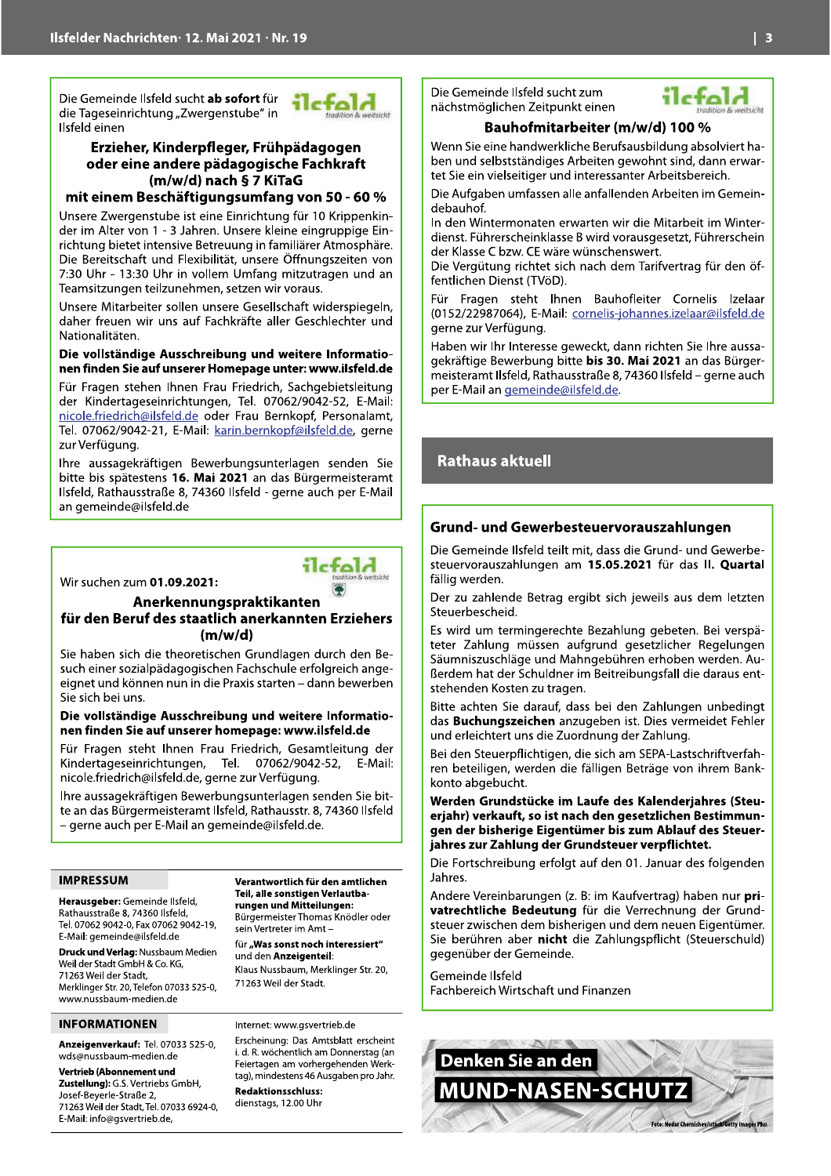Die Gemeinde Ilsfeld sucht ab sofort für die Tageseinrichtung "Zwergenstube" in Ilsfeld einen



#### Erzieher, Kinderpfleger, Frühpädagogen oder eine andere pädagogische Fachkraft (m/w/d) nach § 7 KiTaG

#### mit einem Beschäftigungsumfang von 50 - 60 %

Unsere Zwergenstube ist eine Einrichtung für 10 Krippenkinder im Alter von 1 - 3 Jahren. Unsere kleine eingruppige Einrichtung bietet intensive Betreuung in familiärer Atmosphäre. Die Bereitschaft und Flexibilität, unsere Öffnungszeiten von 7:30 Uhr - 13:30 Uhr in vollem Umfang mitzutragen und an Teamsitzungen teilzunehmen, setzen wir voraus.

Unsere Mitarbeiter sollen unsere Gesellschaft widerspiegeln. daher freuen wir uns auf Fachkräfte aller Geschlechter und Nationalitäten

#### Die vollständige Ausschreibung und weitere Informationen finden Sie auf unserer Homepage unter: www.ilsfeld.de

Für Fragen stehen Ihnen Frau Friedrich, Sachgebietsleitung der Kindertageseinrichtungen, Tel. 07062/9042-52, E-Mail: nicole.friedrich@ilsfeld.de oder Frau Bernkopf, Personalamt, Tel. 07062/9042-21, E-Mail: karin.bernkopf@ilsfeld.de, gerne zur Verfügung.

Ihre aussagekräftigen Bewerbungsunterlagen senden Sie bitte bis spätestens 16. Mai 2021 an das Bürgermeisteramt Ilsfeld, Rathausstraße 8, 74360 Ilsfeld - gerne auch per E-Mail an gemeinde@ilsfeld.de

Wir suchen zum 01.09.2021:

# Anerkennungspraktikanten

## für den Beruf des staatlich anerkannten Erziehers  $(m/w/d)$

Sie haben sich die theoretischen Grundlagen durch den Besuch einer sozialpädagogischen Fachschule erfolgreich angeeignet und können nun in die Praxis starten – dann bewerben Sie sich bei uns.

#### Die vollständige Ausschreibung und weitere Informationen finden Sie auf unserer homepage: www.ilsfeld.de

Für Fragen steht Ihnen Frau Friedrich, Gesamtleitung der Kindertageseinrichtungen, Tel. 07062/9042-52, E-Mail: nicole.friedrich@ilsfeld.de, gerne zur Verfügung.

Ihre aussagekräftigen Bewerbungsunterlagen senden Sie bitte an das Bürgermeisteramt Ilsfeld, Rathausstr. 8, 74360 Ilsfeld - gerne auch per E-Mail an gemeinde@ilsfeld.de.

#### **IMPRESSUM**

Herausgeber: Gemeinde Ilsfeld, Rathausstraße 8, 74360 Ilsfeld, Tel. 07062 9042-0, Fax 07062 9042-19, E-Mail: gemeinde@ilsfeld.de

Druck und Verlag: Nussbaum Medien Weil der Stadt GmbH & Co. KG, 71263 Weil der Stadt, Merklinger Str. 20, Telefon 07033 525-0, www.nussbaum-medien.de

#### **INFORMATIONEN**

Anzeigenverkauf: Tel. 07033 525-0, wds@nussbaum-medien.de

Vertrieb (Abonnement und Zustellung): G.S. Vertriebs GmbH. Josef-Beyerle-Straße 2, 71263 Weil der Stadt, Tel. 07033 6924-0, E-Mail: info@gsvertrieb.de

Verantwortlich für den amtlichen Teil, alle sonstigen Verlautbarungen und Mitteilungen: Bürgermeister Thomas Knödler oder sein Vertreter im Amt-

ilcfold

für "Was sonst noch interessiert" und den Anzeigenteil: Klaus Nussbaum, Merklinger Str. 20.

71263 Weil der Stadt.

#### Internet: www.gsvertrieb.de

Erscheinung: Das Amtsblatt erscheint i. d. R. wöchentlich am Donnerstag (an Feiertagen am vorhergehenden Werktag), mindestens 46 Ausgaben pro Jahr. **Redaktionsschluss:** 

dienstags, 12.00 Uhr

Die Gemeinde Ilsfeld sucht zum nächstmöglichen Zeitpunkt einen



## Bauhofmitarbeiter (m/w/d) 100 %

Wenn Sie eine handwerkliche Berufsausbildung absolviert haben und selbstständiges Arbeiten gewohnt sind, dann erwartet Sie ein vielseitiger und interessanter Arbeitsbereich.

Die Aufgaben umfassen alle anfallenden Arbeiten im Gemeindebauhof.

In den Wintermonaten erwarten wir die Mitarbeit im Winterdienst. Führerscheinklasse B wird vorausgesetzt, Führerschein der Klasse C bzw. CE wäre wünschenswert.

Die Vergütung richtet sich nach dem Tarifvertrag für den öffentlichen Dienst (TVöD).

Für Fragen steht Ihnen Bauhofleiter Cornelis Izelaar (0152/22987064), E-Mail: cornelis-johannes.izelaar@ilsfeld.de gerne zur Verfügung.

Haben wir Ihr Interesse geweckt, dann richten Sie Ihre aussagekräftige Bewerbung bitte bis 30. Mai 2021 an das Bürgermeisteramt Ilsfeld, Rathausstraße 8, 74360 Ilsfeld - gerne auch per E-Mail an gemeinde@ilsfeld.de.

## **Rathaus aktuell**

#### Grund- und Gewerbesteuervorauszahlungen

Die Gemeinde Ilsfeld teilt mit, dass die Grund- und Gewerbesteuervorauszahlungen am 15.05.2021 für das II. Quartal fällig werden.

Der zu zahlende Betrag ergibt sich jeweils aus dem letzten Steuerbescheid.

Es wird um termingerechte Bezahlung gebeten. Bei verspäteter Zahlung müssen aufgrund gesetzlicher Regelungen Säumniszuschläge und Mahngebühren erhoben werden. Außerdem hat der Schuldner im Beitreibungsfall die daraus entstehenden Kosten zu tragen.

Bitte achten Sie darauf, dass bei den Zahlungen unbedingt das Buchungszeichen anzugeben ist. Dies vermeidet Fehler und erleichtert uns die Zuordnung der Zahlung.

Bei den Steuerpflichtigen, die sich am SEPA-Lastschriftverfahren beteiligen, werden die fälligen Beträge von ihrem Bankkonto abgebucht.

Werden Grundstücke im Laufe des Kalenderjahres (Steuerjahr) verkauft, so ist nach den gesetzlichen Bestimmungen der bisherige Eigentümer bis zum Ablauf des Steuerjahres zur Zahlung der Grundsteuer verpflichtet.

Die Fortschreibung erfolgt auf den 01. Januar des folgenden Jahres.

Andere Vereinbarungen (z. B: im Kaufvertrag) haben nur privatrechtliche Bedeutung für die Verrechnung der Grundsteuer zwischen dem bisherigen und dem neuen Eigentümer. Sie berühren aber nicht die Zahlungspflicht (Steuerschuld) gegenüber der Gemeinde.

Gemeinde Ilsfeld Fachbereich Wirtschaft und Finanzen

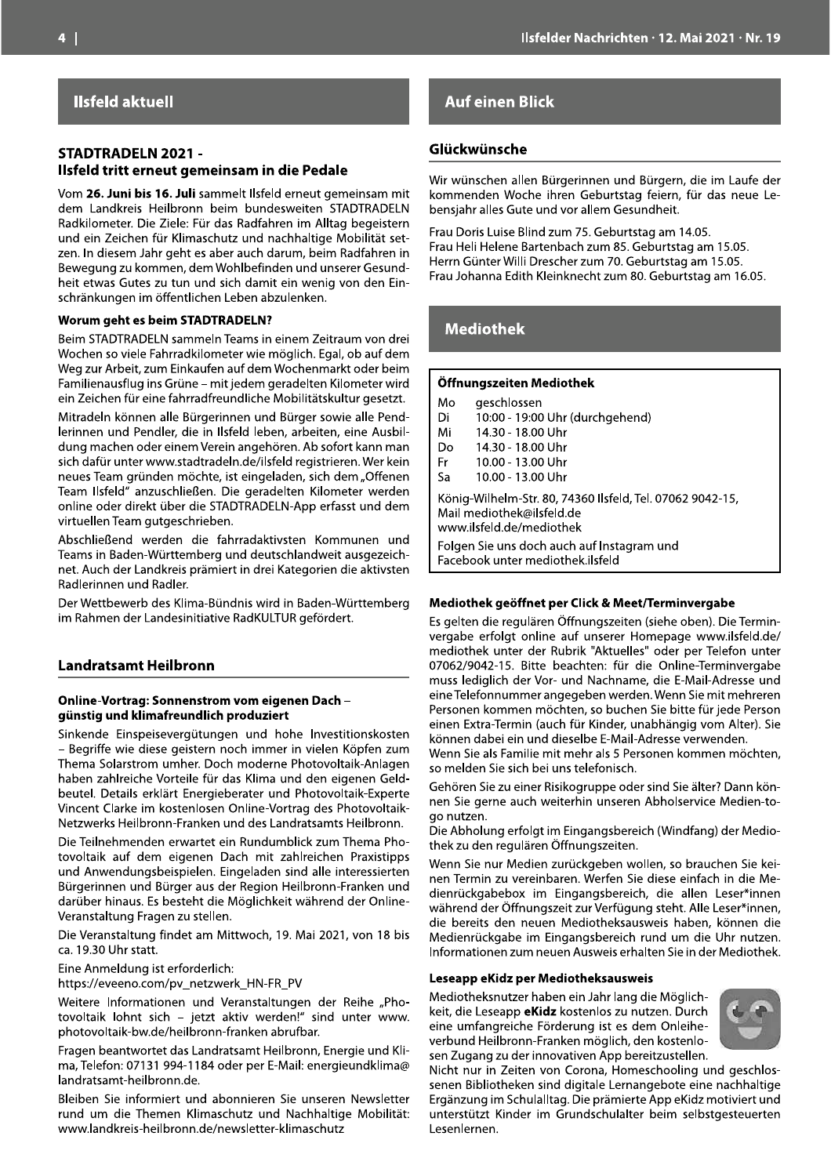## **Ilsfeld aktuell**

# SIADI RADELN 2021 -

**STADTRADELN 2021 -**<br> **Example 18 And Example 18 And Example 18 And Example 18 And Example 19 And 18 And 18 And 18 And 18 And 18 And 18 And 18 And 18 And 18 And 18 And 18 And 18 And 18 And 18 And 18 And 18 And 18 And 18 An** 

Itaalisianises: Die Ziehe Finl des Hadrisheim in Alliag begetisst.<br>
Iunis die Ziehe für Sichter in Alliag begetisst.<br>
Juni die Ziehe für Sichterstein und nochhaltige Kobilist set.<br>
Juni die Ziehe für Sichterstein des Anta

## **Auf einen Blick**

**Example 18 Australian State Control Control Control Control Control Control Control Control Control Control Control Control Control Control Control Control Control Control Control Control Control Control Control Control C** 

| IVIO                                                                                                        | geschlossen                                |
|-------------------------------------------------------------------------------------------------------------|--------------------------------------------|
| Di                                                                                                          | 10:00 - 19:00 Uhr (durchgehend)            |
| Mi                                                                                                          | 14.30 - 18.00 Uhr                          |
| Do                                                                                                          | 14.30 - 18.00 Uhr                          |
| Fr                                                                                                          | 10.00 - 13.00 Uhr                          |
| Sa                                                                                                          | 10.00 - 13.00 Uhr                          |
| König-Wilhelm-Str. 80, 74360 Ilsfeld, Tel. 07062 9<br>Mail mediothek@ilsfeld.de<br>www.ilsfeld.de/mediothek |                                            |
|                                                                                                             | Folgen Sie uns doch auch auf Instagram und |

eleiten Köniere von de **Offnangezieren Mediothek**<br>
eleiten and Archives (en tracta de Perdi - Di 1000 - 1300 Uhr durchgehend)<br>
alternative electron main Do - 1400 - 1400 Uhr Altar (engine and Archives)<br>
Absorbert and Archi

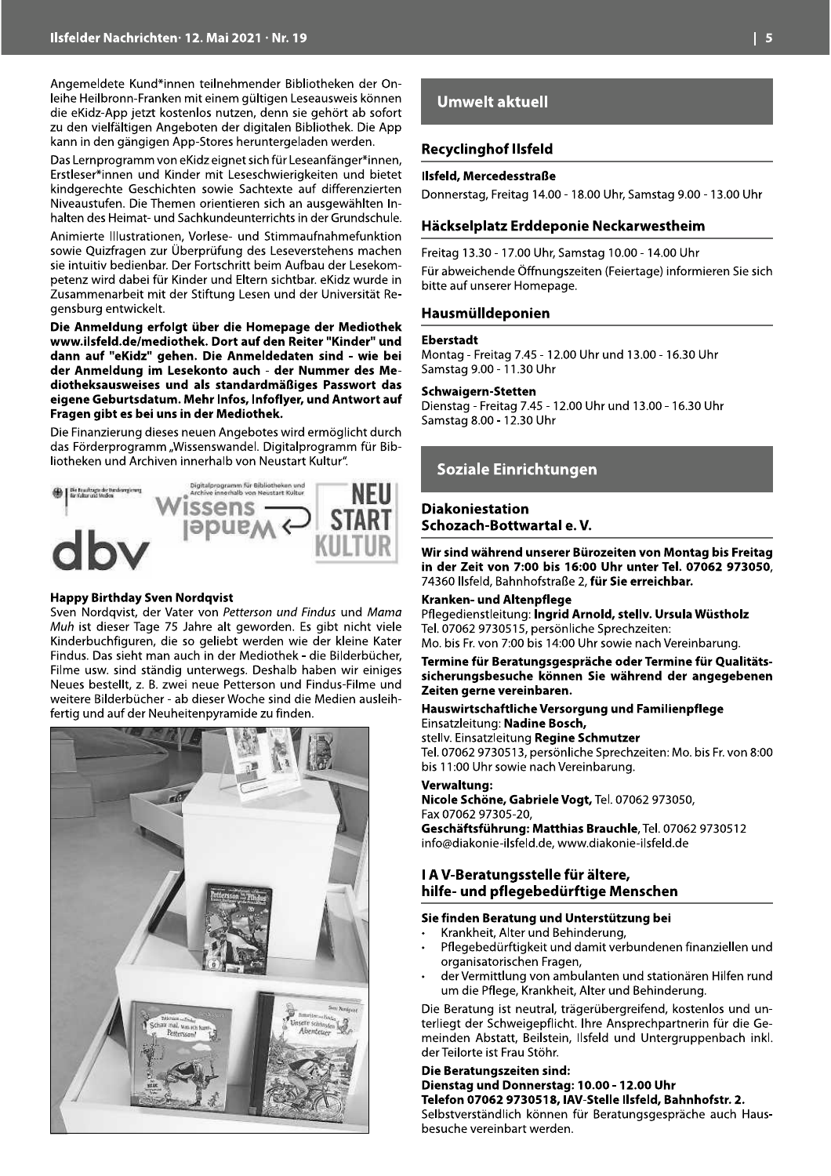Angemeldete Kund\*innen teilnehmender Bibliotheken der Onleihe Heilbronn-Franken mit einem gültigen Leseausweis können die eKidz-App jetzt kostenlos nutzen, denn sie gehört ab sofort zu den vielfältigen Angeboten der digitalen Bibliothek. Die App kann in den gängigen App-Stores heruntergeladen werden.

Das Lernprogramm von eKidz eignet sich für Leseanfänger\*innen, Erstleser\*innen und Kinder mit Leseschwierigkeiten und bietet kindgerechte Geschichten sowie Sachtexte auf differenzierten Niveaustufen. Die Themen orientieren sich an ausgewählten Inhalten des Heimat- und Sachkundeunterrichts in der Grundschule.

Animierte Illustrationen, Vorlese- und Stimmaufnahmefunktion sowie Quizfragen zur Überprüfung des Leseverstehens machen sie intuitiv bedienbar. Der Fortschritt beim Aufbau der Lesekompetenz wird dabei für Kinder und Eltern sichtbar, eKidz wurde in Zusammenarbeit mit der Stiftung Lesen und der Universität Regensburg entwickelt.

Die Anmeldung erfolgt über die Homepage der Mediothek www.ilsfeld.de/mediothek. Dort auf den Reiter "Kinder" und dann auf "eKidz" gehen. Die Anmeldedaten sind - wie bei der Anmeldung im Lesekonto auch - der Nummer des Mediotheksausweises und als standardmäßiges Passwort das eigene Geburtsdatum. Mehr Infos, Infoflyer, und Antwort auf Fragen gibt es bei uns in der Mediothek.

Die Finanzierung dieses neuen Angebotes wird ermöglicht durch das Förderprogramm "Wissenswandel. Digitalprogramm für Bibliotheken und Archiven innerhalb von Neustart Kultur".



#### **Happy Birthday Sven Nordqvist**

Sven Nordqvist, der Vater von Petterson und Findus und Mama Muh ist dieser Tage 75 Jahre alt geworden. Es gibt nicht viele Kinderbuchfiguren, die so geliebt werden wie der kleine Kater Findus. Das sieht man auch in der Mediothek - die Bilderbücher, Filme usw. sind ständig unterwegs. Deshalb haben wir einiges Neues bestellt, z. B. zwei neue Petterson und Findus-Filme und weitere Bilderbücher - ab dieser Woche sind die Medien ausleihfertig und auf der Neuheitenpyramide zu finden.



## **Umwelt aktuell**

#### **Recyclinghof Ilsfeld**

#### Ilsfeld, Mercedesstraße

Donnerstag, Freitag 14.00 - 18.00 Uhr, Samstag 9.00 - 13.00 Uhr

#### Häckselplatz Erddeponie Neckarwestheim

Freitag 13.30 - 17.00 Uhr, Samstag 10.00 - 14.00 Uhr Für abweichende Öffnungszeiten (Feiertage) informieren Sie sich bitte auf unserer Homepage.

#### Hausmülldeponien

#### **Eberstadt**

Montag - Freitag 7.45 - 12.00 Uhr und 13.00 - 16.30 Uhr Samstag 9.00 - 11.30 Uhr

#### Schwaigern-Stetten

Dienstag - Freitag 7.45 - 12.00 Uhr und 13.00 - 16.30 Uhr Samstag 8.00 - 12.30 Uhr

#### **Soziale Einrichtungen**

#### **Diakoniestation** Schozach-Bottwartal e.V.

Wir sind während unserer Bürozeiten von Montag bis Freitag in der Zeit von 7:00 bis 16:00 Uhr unter Tel. 07062 973050, 74360 Ilsfeld, Bahnhofstraße 2, für Sie erreichbar.

#### Kranken- und Altenpflege

Pflegedienstleitung: Ingrid Arnold, stellv. Ursula Wüstholz Tel. 07062 9730515, persönliche Sprechzeiten: Mo. bis Fr. von 7:00 bis 14:00 Uhr sowie nach Vereinbarung.

#### Termine für Beratungsgespräche oder Termine für Qualitätssicherungsbesuche können Sie während der angegebenen Zeiten gerne vereinbaren.

#### Hauswirtschaftliche Versorgung und Familienpflege Einsatzleitung: Nadine Bosch,

stelly. Einsatzleitung Regine Schmutzer Tel. 07062 9730513, persönliche Sprechzeiten: Mo. bis Fr. von 8:00 bis 11:00 Uhr sowie nach Vereinbarung.

#### Verwaltung:

Nicole Schöne, Gabriele Vogt, Tel. 07062 973050, Fax 07062 97305-20,

Geschäftsführung: Matthias Brauchle, Tel. 07062 9730512 info@diakonie-ilsfeld.de, www.diakonie-ilsfeld.de

#### I A V-Beratungsstelle für ältere, hilfe- und pflegebedürftige Menschen

#### Sie finden Beratung und Unterstützung bei

- Krankheit, Alter und Behinderung,
- Pflegebedürftigkeit und damit verbundenen finanziellen und organisatorischen Fragen,
- der Vermittlung von ambulanten und stationären Hilfen rund um die Pflege, Krankheit, Alter und Behinderung.

Die Beratung ist neutral, trägerübergreifend, kostenlos und unterliegt der Schweigepflicht. Ihre Ansprechpartnerin für die Gemeinden Abstatt, Beilstein, Ilsfeld und Untergruppenbach inkl. der Teilorte ist Frau Stöhr.

#### Die Beratungszeiten sind:

Dienstag und Donnerstag: 10.00 - 12.00 Uhr Telefon 07062 9730518, IAV-Stelle Ilsfeld, Bahnhofstr. 2. Selbstverständlich können für Beratungsgespräche auch Hausbesuche vereinbart werden.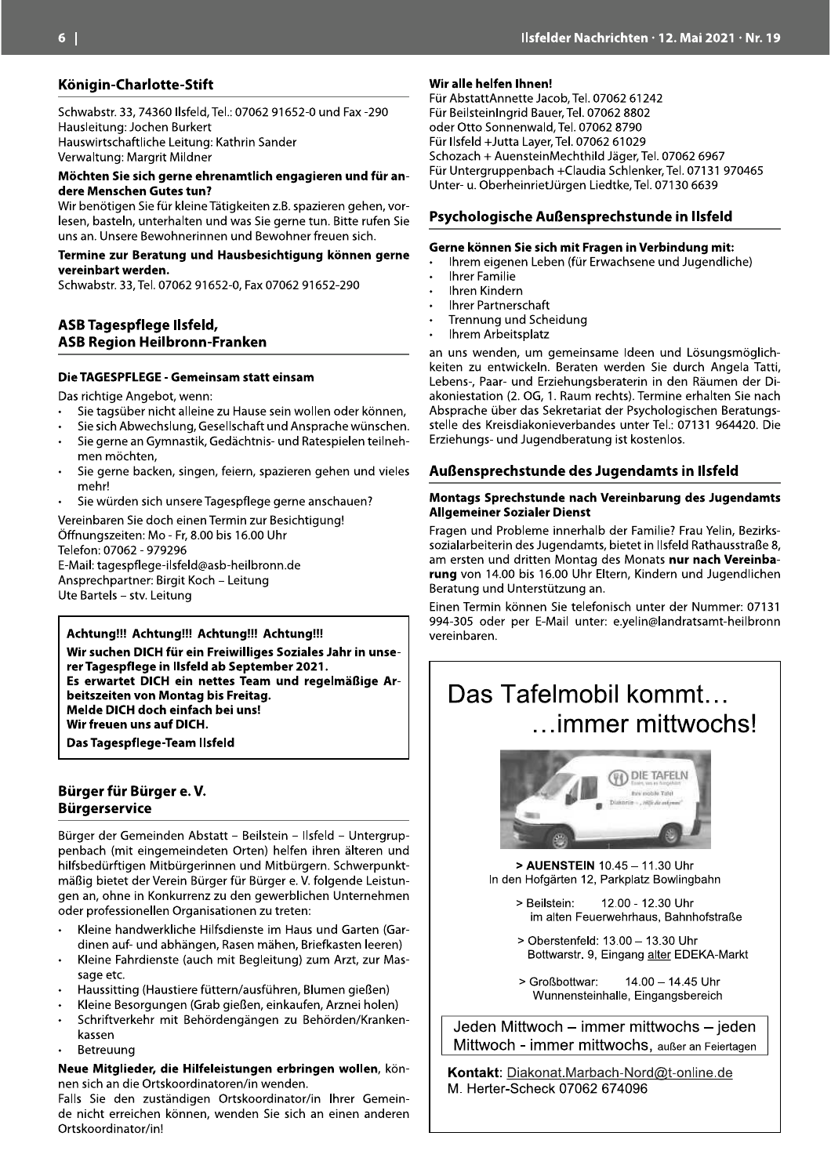#### Königin-Charlotte-Stift

Schwabstr. 33, 74360 Ilsfeld, Tel.: 07062 91652-0 und Fax -290 Hausleitung: Jochen Burkert Hauswirtschaftliche Leitung: Kathrin Sander Verwaltung: Margrit Mildner

#### Möchten Sie sich gerne ehrenamtlich engagieren und für andere Menschen Gutes tun?

Wir benötigen Sie für kleine Tätigkeiten z.B. spazieren gehen, vorlesen, basteln, unterhalten und was Sie gerne tun. Bitte rufen Sie uns an. Unsere Bewohnerinnen und Bewohner freuen sich.

#### Termine zur Beratung und Hausbesichtigung können gerne vereinbart werden.

Schwabstr. 33, Tel. 07062 91652-0, Fax 07062 91652-290

#### ASB Tagespflege Ilsfeld, **ASB Region Heilbronn-Franken**

#### Die TAGESPFLEGE - Gemeinsam statt einsam

Das richtige Angebot, wenn:

- Sie tagsüber nicht alleine zu Hause sein wollen oder können,
- Sie sich Abwechslung, Gesellschaft und Ansprache wünschen.
- Sie gerne an Gymnastik, Gedächtnis- und Ratespielen teilneh- $\ddot{\phantom{a}}$ men möchten,
- Sie gerne backen, singen, feiern, spazieren gehen und vieles mehr!
- Sie würden sich unsere Tagespflege gerne anschauen?

Vereinbaren Sie doch einen Termin zur Besichtigung! Öffnungszeiten: Mo - Fr, 8.00 bis 16.00 Uhr Telefon: 07062 - 979296 E-Mail: tagespflege-ilsfeld@asb-heilbronn.de

Ansprechpartner: Birgit Koch - Leitung Ute Bartels - stv. Leitung

#### Achtung!!! Achtung!!! Achtung!!! Achtung!!!

Wir suchen DICH für ein Freiwilliges Soziales Jahr in unserer Tagespflege in Ilsfeld ab September 2021. Es erwartet DICH ein nettes Team und regelmäßige Arbeitszeiten von Montag bis Freitag. Melde DICH doch einfach bei uns! Wir freuen uns auf DICH. Das Tagespflege-Team Ilsfeld

#### Bürger für Bürger e.V. **Bürgerservice**

Bürger der Gemeinden Abstatt – Beilstein – Ilsfeld – Untergruppenbach (mit eingemeindeten Orten) helfen ihren älteren und hilfsbedürftigen Mitbürgerinnen und Mitbürgern. Schwerpunktmäßig bietet der Verein Bürger für Bürger e. V. folgende Leistungen an, ohne in Konkurrenz zu den gewerblichen Unternehmen oder professionellen Organisationen zu treten:

- Kleine handwerkliche Hilfsdienste im Haus und Garten (Gardinen auf- und abhängen, Rasen mähen, Briefkasten leeren)
- Kleine Fahrdienste (auch mit Begleitung) zum Arzt, zur Massage etc.
- Haussitting (Haustiere füttern/ausführen, Blumen gießen)  $\ddot{\phantom{a}}$
- Kleine Besorgungen (Grab gießen, einkaufen, Arznei holen)
- Schriftverkehr mit Behördengängen zu Behörden/Kranken- $\ddot{\phantom{0}}$ kassen
- Betreuung

Neue Mitglieder, die Hilfeleistungen erbringen wollen, können sich an die Ortskoordinatoren/in wenden.

Falls Sie den zuständigen Ortskoordinator/in Ihrer Gemeinde nicht erreichen können, wenden Sie sich an einen anderen Ortskoordinator/in!

#### Wir alle helfen Ihnen!

Für AbstattAnnette Jacob, Tel. 07062 61242 Für BeilsteinIngrid Bauer, Tel. 07062 8802 oder Otto Sonnenwald, Tel. 07062 8790 Für Ilsfeld +Jutta Laver, Tel. 07062 61029 Schozach + AuensteinMechthild Jäger, Tel. 07062 6967 Für Untergruppenbach +Claudia Schlenker, Tel. 07131 970465 Unter- u. OberheinrietJürgen Liedtke, Tel. 07130 6639

#### Psychologische Außensprechstunde in Ilsfeld

#### Gerne können Sie sich mit Fragen in Verbindung mit:

- Ihrem eigenen Leben (für Erwachsene und Jugendliche)
- Ihrer Familie
- Ihren Kindern
- **Ihrer Partnerschaft**
- Trennung und Scheidung
- Ihrem Arbeitsplatz

an uns wenden, um gemeinsame Ideen und Lösungsmöglichkeiten zu entwickeln. Beraten werden Sie durch Angela Tatti, Lebens-, Paar- und Erziehungsberaterin in den Räumen der Diakoniestation (2. OG, 1. Raum rechts). Termine erhalten Sie nach Absprache über das Sekretariat der Psychologischen Beratungsstelle des Kreisdiakonieverbandes unter Tel.: 07131 964420. Die Erziehungs- und Jugendberatung ist kostenlos.

#### Außensprechstunde des Jugendamts in Ilsfeld

#### Montags Sprechstunde nach Vereinbarung des Jugendamts **Allgemeiner Sozialer Dienst**

Fragen und Probleme innerhalb der Familie? Frau Yelin, Bezirkssozialarbeiterin des Jugendamts, bietet in Ilsfeld Rathausstraße 8, am ersten und dritten Montag des Monats nur nach Vereinbarung von 14.00 bis 16.00 Uhr Eltern, Kindern und Jugendlichen Beratung und Unterstützung an.

Einen Termin können Sie telefonisch unter der Nummer: 07131 994-305 oder per E-Mail unter: e.yelin@landratsamt-heilbronn vereinbaren.

# Das Tafelmobil kommt... ...immer mittwochs!



> AUENSTEIN 10.45 - 11.30 Uhr In den Hofgärten 12, Parkplatz Bowlingbahn

- 12.00 12.30 Uhr > Reilstein: im alten Feuerwehrhaus, Bahnhofstraße
- > Oberstenfeld: 13.00 13.30 Uhr Bottwarstr. 9, Eingang alter EDEKA-Markt
- > Großbottwar: 14.00 - 14.45 Uhr Wunnensteinhalle, Eingangsbereich

Jeden Mittwoch - immer mittwochs - jeden Mittwoch - immer mittwochs, außer an Feiertagen

Kontakt: Diakonat.Marbach-Nord@t-online.de M. Herter-Scheck 07062 674096